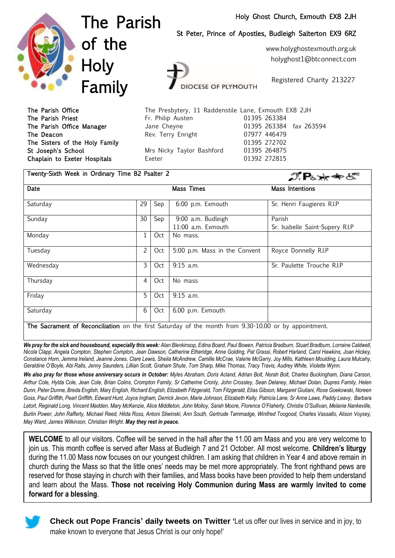#### Holy Ghost Church, Exmouth EX8 2JH



The Parish of the **Holy** Family

Twenty-Sixth Week in Ordinary Time B2 Psalter 2

St Peter, Prince of Apostles, Budleigh Salterton EX9 6RZ

www.holyghostexmouth.org.uk holyghost1@btconnect.com

OCESE OF PLYMOUTH

Registered Charity 213227

The Parish Office The Presbytery, 11 Raddenstile Lane, Exmouth EX8 2JH The Parish Priest **Fr. Philip Austen** 61395 263384 The Parish Office Manager Jane Cheyne 01395 263384 fax 263594 The Deacon **Rev. Terry Enright** 07977 446479 The Sisters of the Holy Family **120 and 120 and 1395 272702** St Joseph's School **Mrs Nicky Taylor Bashford** 01395 264875 Chaplain to Exeter Hospitals **Exeter 12 Exeter** 11392 272815

| Twenty-Sixth Week in Ordinary Time B2 Psalter 2 |                |     |                                          | $\mathcal{D}$ $\mathbf{P}_{b} \times \mathbf{P}_{c}$ |  |
|-------------------------------------------------|----------------|-----|------------------------------------------|------------------------------------------------------|--|
| Date                                            |                |     | Mass Times                               | Mass Intentions                                      |  |
| Saturday                                        | 29             | Sep | 6:00 p.m. Exmouth                        | Sr. Henri Faugieres R.I.P                            |  |
| Sunday                                          | 30             | Sep | 9:00 a.m. Budleigh<br>11:00 a.m. Exmouth | Parish<br>Sr. Isabelle Saint-Supery R.I.P            |  |
| Monday                                          | 1              | Oct | No mass.                                 |                                                      |  |
| Tuesday                                         | $\overline{2}$ | Oct | 5:00 p.m. Mass in the Convent            | Royce Donnelly R.I.P                                 |  |
| Wednesday                                       | 3              | Oct | $9:15$ a.m.                              | Sr. Paulette Trouche R.I.P                           |  |
| Thursday                                        | 4              | Oct | No mass                                  |                                                      |  |
| Friday                                          | 5              | Oct | $9:15$ a.m.                              |                                                      |  |
| Saturday                                        | 6              | Oct | 6.00 p.m. Exmouth                        |                                                      |  |
| $\cdots$                                        |                |     | $\mathbf{r}$<br>0.20.10.00               | $\sim$ $\sim$ $\sim$ $\sim$ $\sim$<br>$\mathbf{r}$   |  |

The Sacrament of Reconciliation on the first Saturday of the month from 9.30-10.00 or by appointment.

We pray for the sick and housebound, especially this week: Alan Blenkinsop, Edina Board, Paul Bowen, Patricia Bradburn, Stuart Bradburn, Lorraine Caldwell, *Nicola Clapp, Angela Compton, Stephen Compton, Jean Dawson, Catherine Etheridge, Anne Golding, Pat Grassi, Robert Harland, Carol Hawkins, Joan Hickey, Constance Horn, Jemma Ireland, Jeanne Jones, Clare Lewis, Sheila McAndrew, Camille McCrae, Valerie McGarry, Joy Mills, Kathleen Moulding, Laura Mulcahy, Geraldine O'Boyle, Abi Ralls, Jenny Saunders, Lillian Scott, Graham Shute, Tom Sharp, Mike Thomas, Tracy Travis, Audrey White, Violette Wynn.*

*We also pray for those whose anniversary occurs in October: Myles Abraham, Doris Acland, Adrian Bolt, Norah Bolt, Charles Buckingham, Diana Carson, Arthur Cole, Hylda Cole, Jean Cole, Brian Colins, Crompton Family, Sr Catherine Cronly, John Crossley, Sean Delaney, Michael Dolan, Dupres Family, Helen Dunn, Peter Dunne, Breda English, Mary English, Richard English, Elizabeth Fitzgerald, Tom Fitzgerald, Elias Gibson, Margaret Giuliani, Rose Goekowski, Noreen Goss, Paul Griffith, Pearl Griffith, Edward Hunt, Joyce Ingham, Derrick Jevon, Marie Johnson, Elizabeth Kelly, Patricia Lane, Sr Anne Laws, Paddy Leavy, Barbara Letort, Reginald Long, Vincent Madden, Mary McKenzie, Alice Middleton, John Molloy, Sarah Moore, Florence O'Flaherty, Christie O'Sullivan, Melanie Nankeville, Burlin Power, John Rafferty, Michael Reed, Hilda Ross, Antoni Sliwinski, Ann South, Gertrude Tammadge, Winifred Toogood, Charles Vassallo, Alison Voysey, May Ward, James Wilkinson, Christian Wright. May they rest in peace.* 

**WELCOME** to all our visitors. Coffee will be served in the hall after the 11.00 am Mass and you are very welcome to join us. This month coffee is served after Mass at Budleigh 7 and 21 October. All most welcome. **Children's liturgy** during the 11.00 Mass now focuses on our youngest children. I am asking that children in Year 4 and above remain in church during the Mass so that the little ones' needs may be met more appropriately. The front righthand pews are reserved for those staying in church with their families, and Mass books have been provided to help them understand and learn about the Mass. **Those not receiving Holy Communion during Mass are warmly invited to come forward for a blessing**.



**Check out Pope Francis' daily tweets on Twitter '**Let us offer our lives in service and in joy, to make known to everyone that Jesus Christ is our only hope!'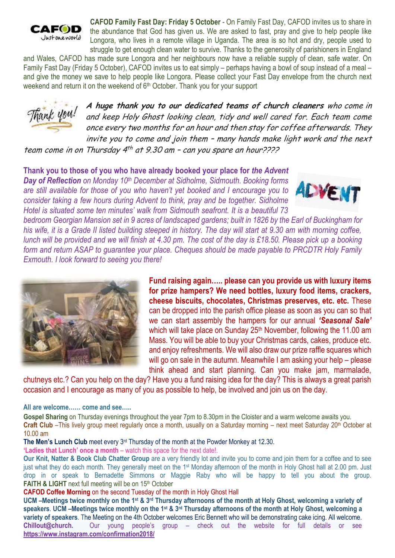

**CAFOD Family Fast Day: Friday 5 October** - On Family Fast Day, CAFOD invites us to share in the abundance that God has given us. We are asked to fast, pray and give to help people like Longora, who lives in a remote village in Uganda. The area is so hot and dry, people used to struggle to get enough clean water to survive. Thanks to the generosity of parishioners in England

and Wales, CAFOD has made sure Longora and her neighbours now have a reliable supply of clean, safe water. On Family Fast Day (Friday 5 October), CAFOD invites us to eat simply – perhaps having a bowl of soup instead of a meal – and give the money we save to help people like Longora. Please collect your Fast Day envelope from the church next weekend and return it on the weekend of 6<sup>th</sup> October. Thank you for your support



**A huge thank you to our dedicated teams of church cleaners** who come in and keep Holy Ghost looking clean, tidy and well cared for. Each team come once every two months for an hour and then stay for coffee afterwards. They invite you to come and join them – many hands make light work and the next

team come in on Thursday 4<sup>th</sup> at 9.30 am - can you spare an hour????

**Thank you to those of you who have already booked your place for** *the Advent Day of Reflection on Monday 10th December at Sidholme, Sidmouth. Booking forms are still available for those of you who haven't yet booked and I encourage you to consider taking a few hours during Advent to think, pray and be together. Sidholme Hotel is situated some ten minutes' walk from Sidmouth seafront. It is a beautiful 73* 



*bedroom Georgian Mansion set in 9 acres of landscaped gardens; built in 1826 by the Earl of Buckingham for his wife, it is a Grade II listed building steeped in history. The day will start at 9.30 am with morning coffee, lunch will be provided and we will finish at 4.30 pm. The cost of the day is £18.50. Please pick up a booking form and return ASAP to guarantee your place. Cheques should be made payable to PRCDTR Holy Family Exmouth. I look forward to seeing you there!*



**Fund raising again….. please can you provide us with luxury items for prize hampers? We need bottles, luxury food items, crackers, cheese biscuits, chocolates, Christmas preserves, etc. etc.** These can be dropped into the parish office please as soon as you can so that we can start assembly the hampers for our annual *'Seasonal Sale'* which will take place on Sunday 25<sup>th</sup> November, following the 11.00 am Mass. You will be able to buy your Christmas cards, cakes, produce etc. and enjoy refreshments. We will also draw our prize raffle squares which will go on sale in the autumn. Meanwhile I am asking your help – please think ahead and start planning. Can you make jam, marmalade,

chutneys etc.? Can you help on the day? Have you a fund raising idea for the day? This is always a great parish occasion and I encourage as many of you as possible to help, be involved and join us on the day.

**All are welcome…… come and see…..**

**Gospel Sharing** on Thursday evenings throughout the year 7pm to 8.30pm in the Cloister and a warm welcome awaits you. **Craft Club** –This lively group meet regularly once a month, usually on a Saturday morning – next meet Saturday 20<sup>th</sup> October at 10.00 am

**The Men's Lunch Club** meet every  $3<sup>rd</sup>$  Thursday of the month at the Powder Monkey at 12.30.

**'Ladies that Lunch' once a month** – watch this space for the next date!.

**Our Knit, Natter & Book Club Chatter Group** are a very friendly lot and invite you to come and join them for a coffee and to see just what they do each month. They generally meet on the 1<sup>st</sup> Monday afternoon of the month in Holy Ghost hall at 2.00 pm. Just drop in or speak to Bernadette Simmons or Maggie Raby who will be happy to tell you about the group. **FAITH & LIGHT** next full meeting will be on 15<sup>th</sup> October

**CAFOD Coffee Morning** on the second Tuesday of the month in Holy Ghost Hall

UCM –Meetings twice monthly on the 1<sup>st</sup> & 3<sup>rd</sup> Thursday afternoons of the month at Holy Ghost, welcoming a variety of speakers. UCM –Meetings twice monthly on the 1st & 3rd Thursday afternoons of the month at Holy Ghost, welcoming a **variety of speakers**. The Meeting on the 4th October welcomes Eric Bennett who will be demonstrating cake icing. All welcome. **Chillout@church.** Our young people's group – check out the website for full details or see **<https://www.instagram.com/confirmation2018/>**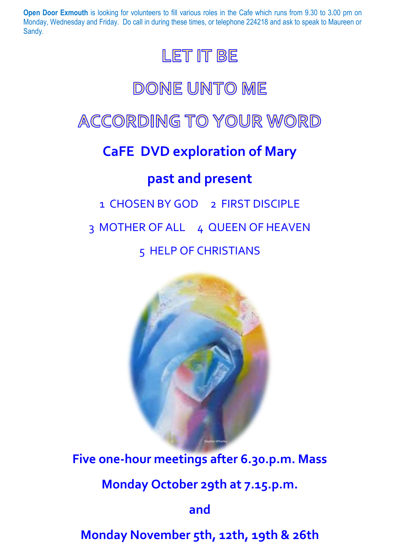**Open Door Exmouth** is looking for volunteers to fill various roles in the Cafe which runs from 9.30 to 3.00 pm on Monday, Wednesday and Friday. Do call in during these times, or telephone 224218 and ask to speak to Maureen or Sandy.



# DONE UNTO ME

## ACCORDING TO YOUR WORD

## **CaFE DVD exploration of Mary**

### **past and present**

# 1 CHOSEN BY GOD 2 FIRST DISCIPLE 3 MOTHER OF ALL 4 QUEEN OF HEAVEN 5 HELP OF CHRISTIANS



**Five one-hour meetings after 6.30.p.m. Mass**

**Monday October 29th at 7.15.p.m.**

**and**

**Monday November 5th, 12th, 19th & 26th**